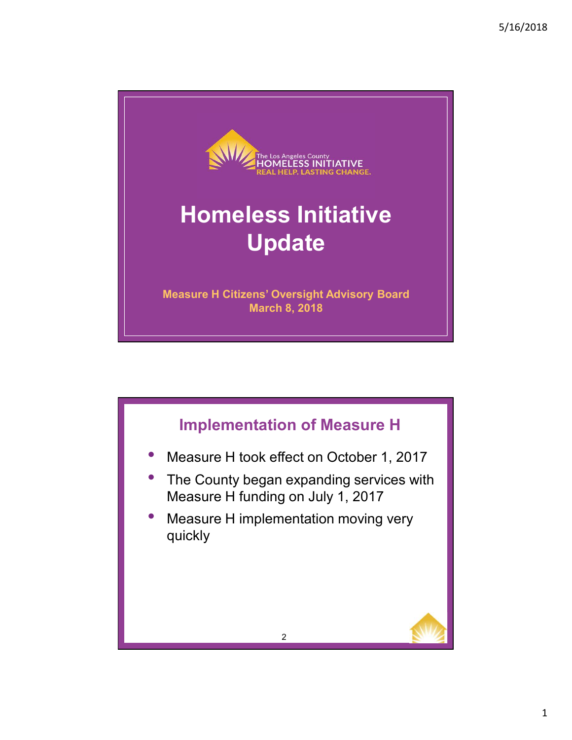

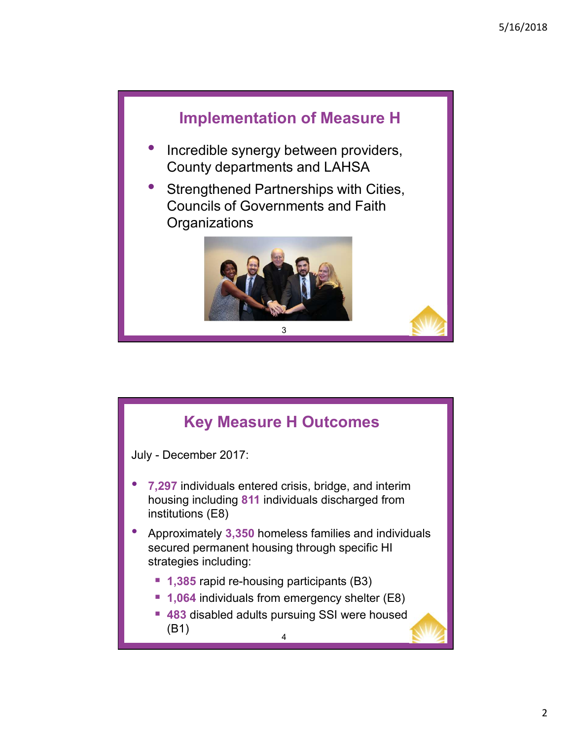

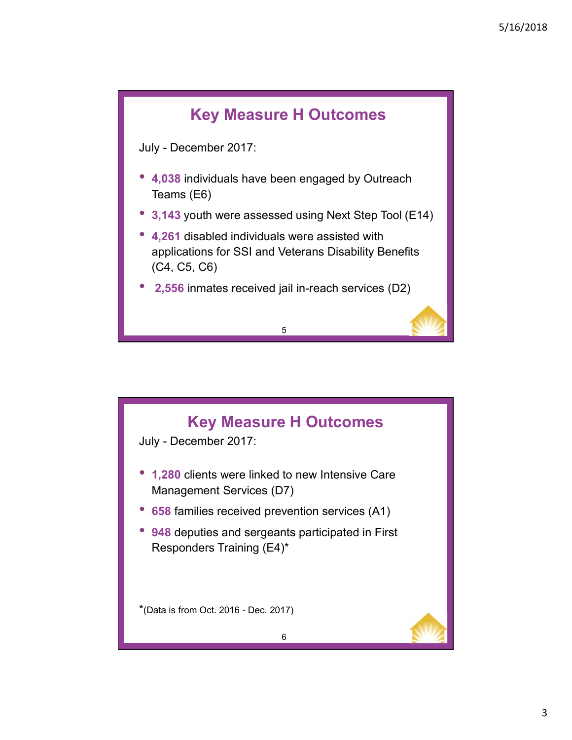

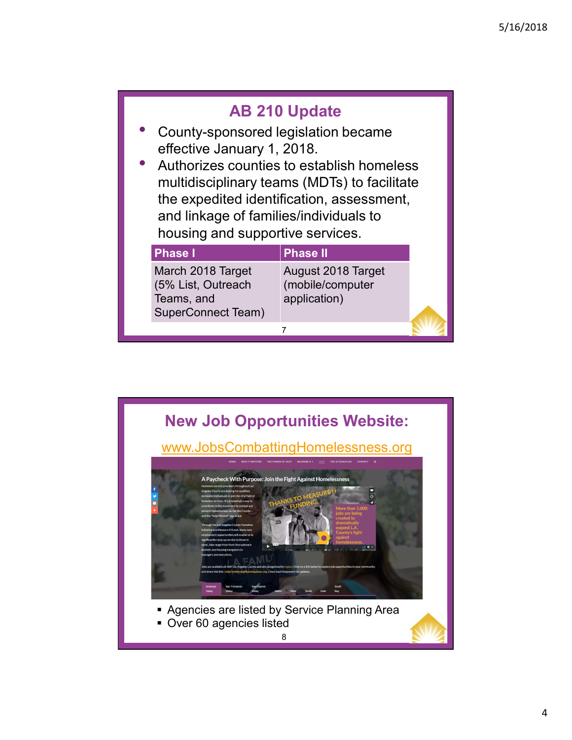